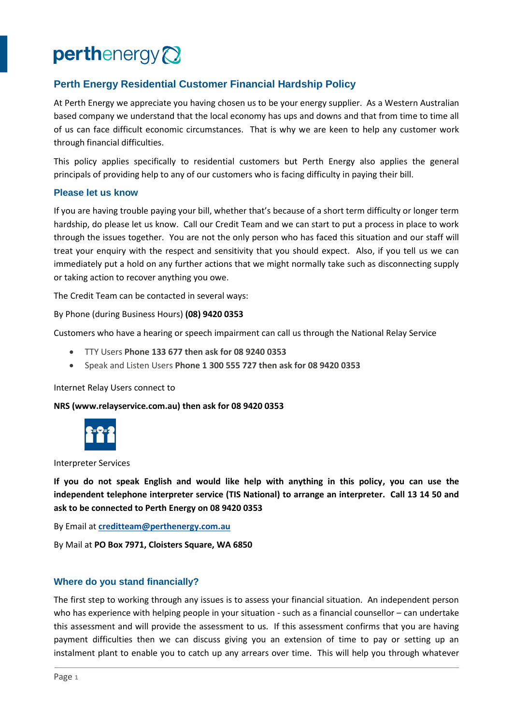# perthenergy<sup>2</sup>

# **Perth Energy Residential Customer Financial Hardship Policy**

At Perth Energy we appreciate you having chosen us to be your energy supplier. As a Western Australian based company we understand that the local economy has ups and downs and that from time to time all of us can face difficult economic circumstances. That is why we are keen to help any customer work through financial difficulties.

This policy applies specifically to residential customers but Perth Energy also applies the general principals of providing help to any of our customers who is facing difficulty in paying their bill.

#### **Please let us know**

If you are having trouble paying your bill, whether that's because of a short term difficulty or longer term hardship, do please let us know. Call our Credit Team and we can start to put a process in place to work through the issues together. You are not the only person who has faced this situation and our staff will treat your enquiry with the respect and sensitivity that you should expect. Also, if you tell us we can immediately put a hold on any further actions that we might normally take such as disconnecting supply or taking action to recover anything you owe.

The Credit Team can be contacted in several ways:

By Phone (during Business Hours) **(08) 9420 0353**

Customers who have a hearing or speech impairment can call us through the National Relay Service

- TTY Users **Phone 133 677 then ask for 08 9240 0353**
- Speak and Listen Users **Phone 1 300 555 727 then ask for 08 9420 0353**

Internet Relay Users connect to

**NRS (www.relayservice.com.au) then ask for 08 9420 0353**



Interpreter Services

**If you do not speak English and would like help with anything in this policy, you can use the independent telephone interpreter service (TIS National) to arrange an interpreter. Call 13 14 50 and ask to be connected to Perth Energy on 08 9420 0353**

By Email at **[creditteam@perthenergy.com.au](mailto:creditteam@perthenergy.com.au)**

By Mail at **PO Box 7971, Cloisters Square, WA 6850**

#### **Where do you stand financially?**

The first step to working through any issues is to assess your financial situation. An independent person who has experience with helping people in your situation - such as a financial counsellor – can undertake this assessment and will provide the assessment to us. If this assessment confirms that you are having payment difficulties then we can discuss giving you an extension of time to pay or setting up an instalment plant to enable you to catch up any arrears over time. This will help you through whatever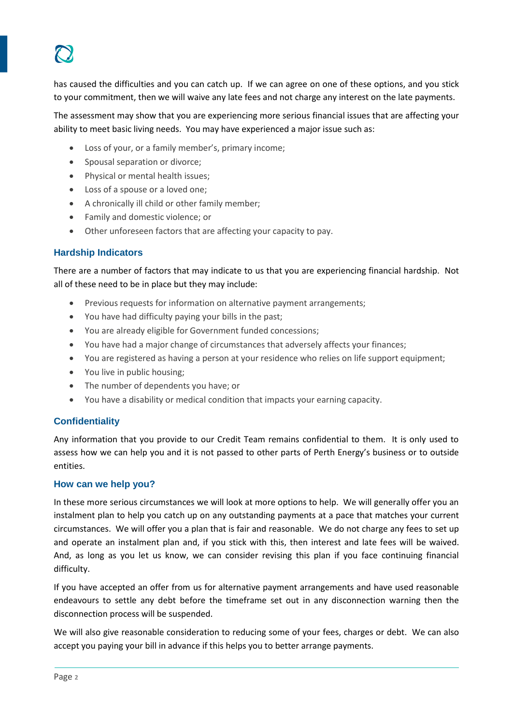has caused the difficulties and you can catch up. If we can agree on one of these options, and you stick to your commitment, then we will waive any late fees and not charge any interest on the late payments.

The assessment may show that you are experiencing more serious financial issues that are affecting your ability to meet basic living needs. You may have experienced a major issue such as:

- Loss of your, or a family member's, primary income;
- Spousal separation or divorce;
- Physical or mental health issues;
- Loss of a spouse or a loved one;
- A chronically ill child or other family member;
- Family and domestic violence; or
- Other unforeseen factors that are affecting your capacity to pay.

### **Hardship Indicators**

There are a number of factors that may indicate to us that you are experiencing financial hardship. Not all of these need to be in place but they may include:

- Previous requests for information on alternative payment arrangements;
- You have had difficulty paying your bills in the past;
- You are already eligible for Government funded concessions;
- You have had a major change of circumstances that adversely affects your finances;
- You are registered as having a person at your residence who relies on life support equipment;
- You live in public housing;
- The number of dependents you have; or
- You have a disability or medical condition that impacts your earning capacity.

## **Confidentiality**

Any information that you provide to our Credit Team remains confidential to them. It is only used to assess how we can help you and it is not passed to other parts of Perth Energy's business or to outside entities.

#### **How can we help you?**

In these more serious circumstances we will look at more options to help. We will generally offer you an instalment plan to help you catch up on any outstanding payments at a pace that matches your current circumstances. We will offer you a plan that is fair and reasonable. We do not charge any fees to set up and operate an instalment plan and, if you stick with this, then interest and late fees will be waived. And, as long as you let us know, we can consider revising this plan if you face continuing financial difficulty.

If you have accepted an offer from us for alternative payment arrangements and have used reasonable endeavours to settle any debt before the timeframe set out in any disconnection warning then the disconnection process will be suspended.

We will also give reasonable consideration to reducing some of your fees, charges or debt. We can also accept you paying your bill in advance if this helps you to better arrange payments.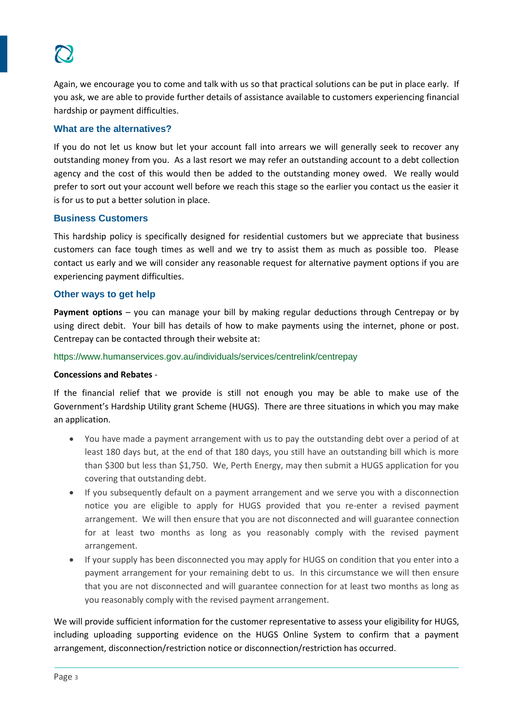Again, we encourage you to come and talk with us so that practical solutions can be put in place early. If you ask, we are able to provide further details of assistance available to customers experiencing financial hardship or payment difficulties.

#### **What are the alternatives?**

If you do not let us know but let your account fall into arrears we will generally seek to recover any outstanding money from you. As a last resort we may refer an outstanding account to a debt collection agency and the cost of this would then be added to the outstanding money owed. We really would prefer to sort out your account well before we reach this stage so the earlier you contact us the easier it is for us to put a better solution in place.

#### **Business Customers**

This hardship policy is specifically designed for residential customers but we appreciate that business customers can face tough times as well and we try to assist them as much as possible too. Please contact us early and we will consider any reasonable request for alternative payment options if you are experiencing payment difficulties.

#### **Other ways to get help**

**Payment options** – you can manage your bill by making regular deductions through Centrepay or by using direct debit. Your bill has details of how to make payments using the internet, phone or post. Centrepay can be contacted through their website at:

https://www.humanservices.gov.au/individuals/services/centrelink/centrepay

#### **Concessions and Rebates** -

If the financial relief that we provide is still not enough you may be able to make use of the Government's Hardship Utility grant Scheme (HUGS). There are three situations in which you may make an application.

- You have made a payment arrangement with us to pay the outstanding debt over a period of at least 180 days but, at the end of that 180 days, you still have an outstanding bill which is more than \$300 but less than \$1,750. We, Perth Energy, may then submit a HUGS application for you covering that outstanding debt.
- If you subsequently default on a payment arrangement and we serve you with a disconnection notice you are eligible to apply for HUGS provided that you re-enter a revised payment arrangement. We will then ensure that you are not disconnected and will guarantee connection for at least two months as long as you reasonably comply with the revised payment arrangement.
- If your supply has been disconnected you may apply for HUGS on condition that you enter into a payment arrangement for your remaining debt to us. In this circumstance we will then ensure that you are not disconnected and will guarantee connection for at least two months as long as you reasonably comply with the revised payment arrangement.

We will provide sufficient information for the customer representative to assess your eligibility for HUGS, including uploading supporting evidence on the HUGS Online System to confirm that a payment arrangement, disconnection/restriction notice or disconnection/restriction has occurred.